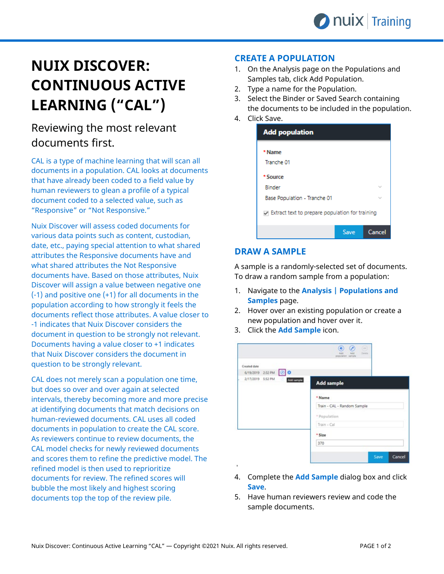# **NUIX DISCOVER: CONTINUOUS ACTIVE LEARNING ("CAL")**

## Reviewing the most relevant documents first.

CAL is a type of machine learning that will scan all documents in a population. CAL looks at documents that have already been coded to a field value by human reviewers to glean a profile of a typical document coded to a selected value, such as "Responsive" or "Not Responsive."

Nuix Discover will assess coded documents for various data points such as content, custodian, date, etc., paying special attention to what shared attributes the Responsive documents have and what shared attributes the Not Responsive documents have. Based on those attributes, Nuix Discover will assign a value between negative one (-1) and positive one (+1) for all documents in the population according to how strongly it feels the documents reflect those attributes. A value closer to -1 indicates that Nuix Discover considers the document in question to be strongly not relevant. Documents having a value closer to +1 indicates that Nuix Discover considers the document in question to be strongly relevant.

CAL does not merely scan a population one time, but does so over and over again at selected intervals, thereby becoming more and more precise at identifying documents that match decisions on human-reviewed documents. CAL uses all coded documents in population to create the CAL score. As reviewers continue to review documents, the CAL model checks for newly reviewed documents and scores them to refine the predictive model. The refined model is then used to reprioritize documents for review. The refined scores will bubble the most likely and highest scoring documents top the top of the review pile.

### **CREATE A POPULATION**

- 1. On the Analysis page on the Populations and Samples tab, click Add Population.
- 2. Type a name for the Population.
- 3. Select the Binder or Saved Search containing the documents to be included in the population.
- 4. Click Save.

| <b>Add population</b>                              |      |        |  |  |  |  |
|----------------------------------------------------|------|--------|--|--|--|--|
| * Name                                             |      |        |  |  |  |  |
| Tranche 01                                         |      |        |  |  |  |  |
| * Source                                           |      |        |  |  |  |  |
| <b>Binder</b>                                      |      |        |  |  |  |  |
| Base Population - Tranche 01                       |      |        |  |  |  |  |
| To Extract text to prepare population for training |      |        |  |  |  |  |
|                                                    | Save | Cancel |  |  |  |  |

#### **DRAW A SAMPLE**

A sample is a randomly-selected set of documents. To draw a random sample from a population:

- 1. Navigate to the **Analysis | Populations and Samples** page.
- 2. Hover over an existing population or create a new population and hover over it.
- 3. Click the **Add Sample** icon.

|                                 | a)<br>$\omega$<br>$\circ$<br>Deare<br><b>KSS</b><br>A-S1<br>population, sample |
|---------------------------------|--------------------------------------------------------------------------------|
| Created date                    |                                                                                |
| 6/19/2019 2:32 PM 0             |                                                                                |
| 2/17/2019 5:52 PM<br>Add sumple | <b>Add sample</b>                                                              |
|                                 | * Name                                                                         |
|                                 | Train - CAL - Random Sample                                                    |
|                                 | * Population                                                                   |
|                                 | Train - Cal                                                                    |
|                                 | * Size                                                                         |
|                                 | 370                                                                            |
|                                 | Save<br>Cancel                                                                 |

- 4. Complete the **Add Sample** dialog box and click **Save**.
- 5. Have human reviewers review and code the sample documents.